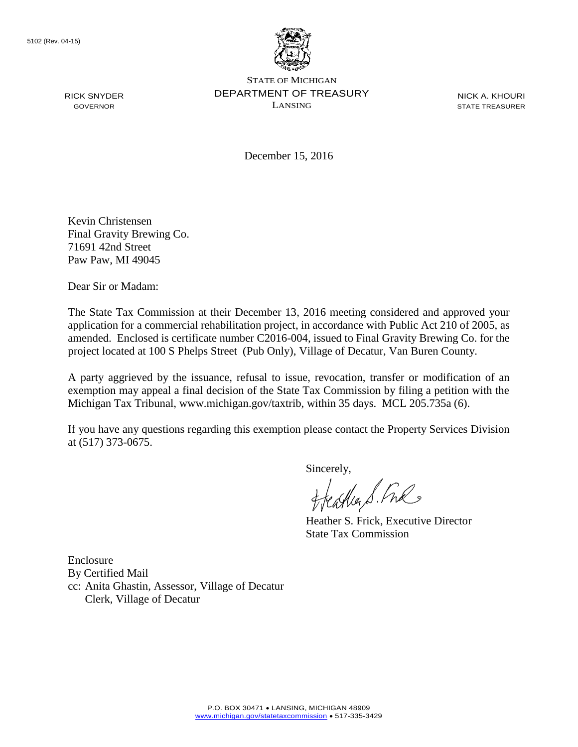

STATE OF MICHIGAN DEPARTMENT OF TREASURY LANSING

NICK A. KHOURI STATE TREASURER

December 15, 2016

Kevin Christensen Final Gravity Brewing Co. 71691 42nd Street Paw Paw, MI 49045

Dear Sir or Madam:

The State Tax Commission at their December 13, 2016 meeting considered and approved your application for a commercial rehabilitation project, in accordance with Public Act 210 of 2005, as amended. Enclosed is certificate number C2016-004, issued to Final Gravity Brewing Co. for the project located at 100 S Phelps Street (Pub Only), Village of Decatur, Van Buren County.

A party aggrieved by the issuance, refusal to issue, revocation, transfer or modification of an exemption may appeal a final decision of the State Tax Commission by filing a petition with the Michigan Tax Tribunal, www.michigan.gov/taxtrib, within 35 days. MCL 205.735a (6).

If you have any questions regarding this exemption please contact the Property Services Division at (517) 373-0675.

Sincerely,

freastles S. Fre

Heather S. Frick, Executive Director State Tax Commission

Enclosure By Certified Mail cc: Anita Ghastin, Assessor, Village of Decatur Clerk, Village of Decatur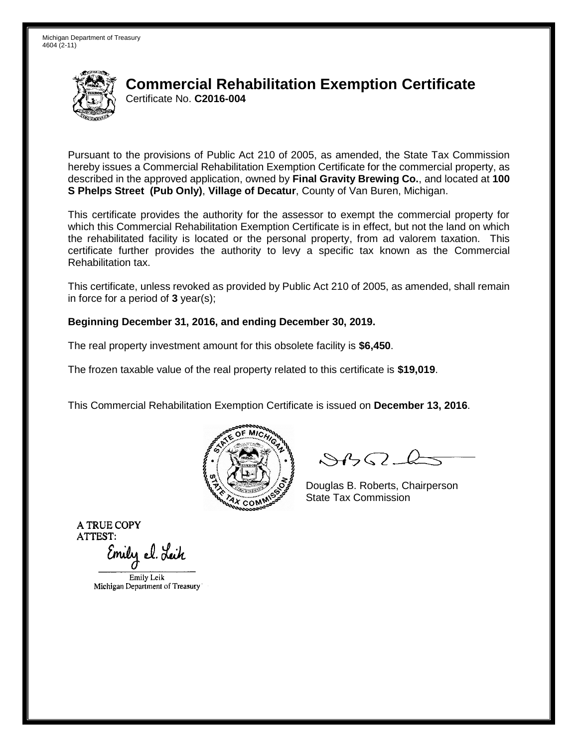

Pursuant to the provisions of Public Act 210 of 2005, as amended, the State Tax Commission hereby issues a Commercial Rehabilitation Exemption Certificate for the commercial property, as described in the approved application, owned by **Final Gravity Brewing Co.**, and located at **100 S Phelps Street (Pub Only)**, **Village of Decatur**, County of Van Buren, Michigan.

This certificate provides the authority for the assessor to exempt the commercial property for which this Commercial Rehabilitation Exemption Certificate is in effect, but not the land on which the rehabilitated facility is located or the personal property, from ad valorem taxation. This certificate further provides the authority to levy a specific tax known as the Commercial Rehabilitation tax.

This certificate, unless revoked as provided by Public Act 210 of 2005, as amended, shall remain in force for a period of **3** year(s);

### **Beginning December 31, 2016, and ending December 30, 2019.**

The real property investment amount for this obsolete facility is **\$6,450**.

The frozen taxable value of the real property related to this certificate is **\$19,019**.

This Commercial Rehabilitation Exemption Certificate is issued on **December 13, 2016**.



 $8450 - 6$ 

Douglas B. Roberts, Chairperson State Tax Commission

Emily el. Leik

Emily Leik Michigan Department of Treasury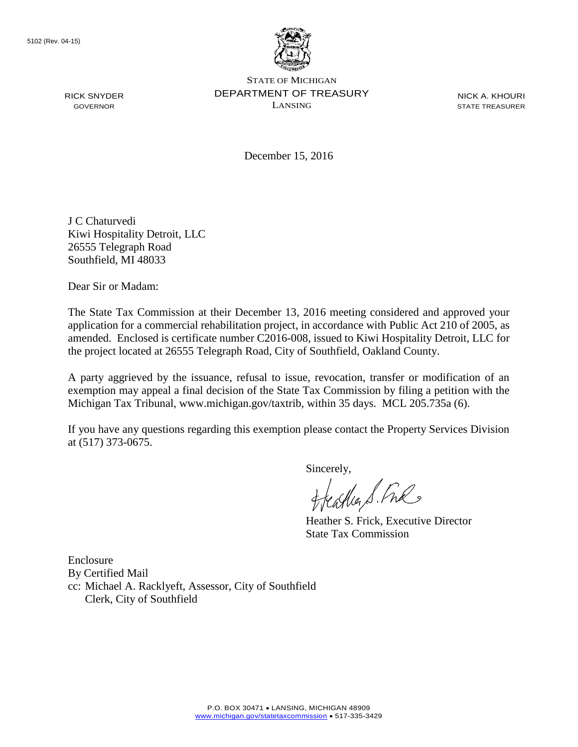

STATE OF MICHIGAN DEPARTMENT OF TREASURY LANSING

NICK A. KHOURI STATE TREASURER

December 15, 2016

J C Chaturvedi Kiwi Hospitality Detroit, LLC 26555 Telegraph Road Southfield, MI 48033

Dear Sir or Madam:

The State Tax Commission at their December 13, 2016 meeting considered and approved your application for a commercial rehabilitation project, in accordance with Public Act 210 of 2005, as amended. Enclosed is certificate number C2016-008, issued to Kiwi Hospitality Detroit, LLC for the project located at 26555 Telegraph Road, City of Southfield, Oakland County.

A party aggrieved by the issuance, refusal to issue, revocation, transfer or modification of an exemption may appeal a final decision of the State Tax Commission by filing a petition with the Michigan Tax Tribunal, www.michigan.gov/taxtrib, within 35 days. MCL 205.735a (6).

If you have any questions regarding this exemption please contact the Property Services Division at (517) 373-0675.

Sincerely,

ffeather S. Fre

Heather S. Frick, Executive Director State Tax Commission

Enclosure By Certified Mail cc: Michael A. Racklyeft, Assessor, City of Southfield Clerk, City of Southfield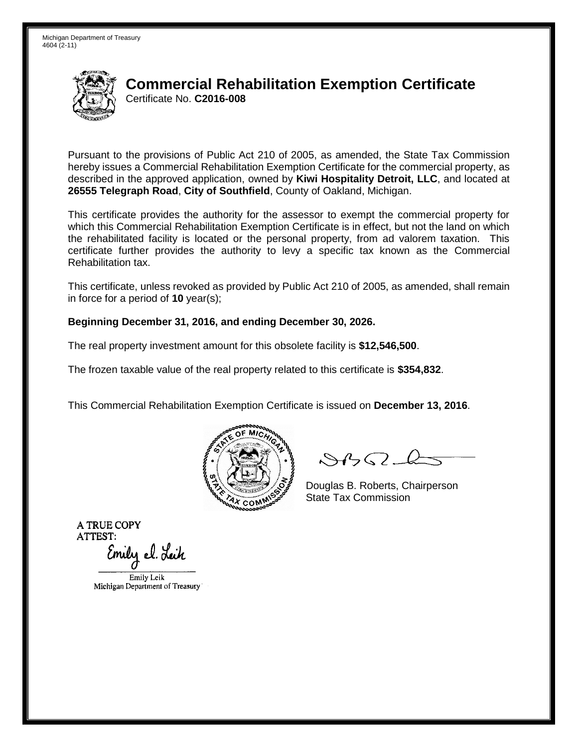

Pursuant to the provisions of Public Act 210 of 2005, as amended, the State Tax Commission hereby issues a Commercial Rehabilitation Exemption Certificate for the commercial property, as described in the approved application, owned by **Kiwi Hospitality Detroit, LLC**, and located at **26555 Telegraph Road**, **City of Southfield**, County of Oakland, Michigan.

This certificate provides the authority for the assessor to exempt the commercial property for which this Commercial Rehabilitation Exemption Certificate is in effect, but not the land on which the rehabilitated facility is located or the personal property, from ad valorem taxation. This certificate further provides the authority to levy a specific tax known as the Commercial Rehabilitation tax.

This certificate, unless revoked as provided by Public Act 210 of 2005, as amended, shall remain in force for a period of **10** year(s);

#### **Beginning December 31, 2016, and ending December 30, 2026.**

The real property investment amount for this obsolete facility is **\$12,546,500**.

The frozen taxable value of the real property related to this certificate is **\$354,832**.

This Commercial Rehabilitation Exemption Certificate is issued on **December 13, 2016**.



 $8450 - 6$ 

Douglas B. Roberts, Chairperson State Tax Commission

Emily el. Leik

Emily Leik Michigan Department of Treasury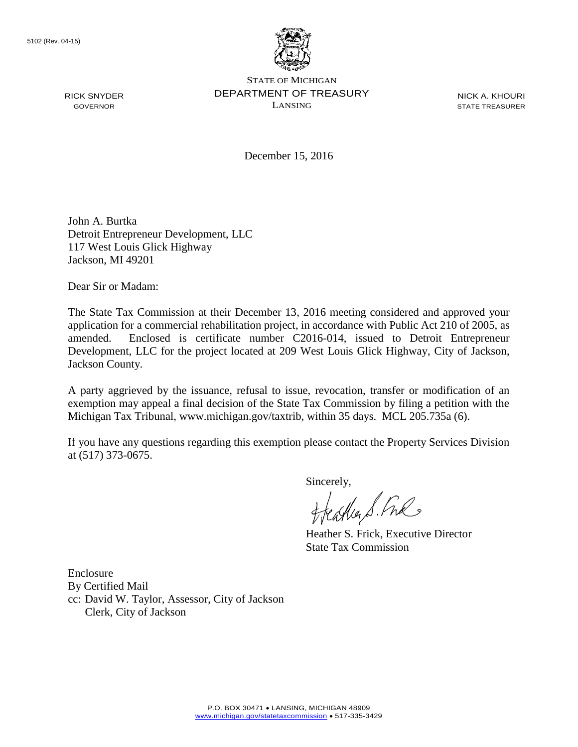

STATE OF MICHIGAN DEPARTMENT OF TREASURY LANSING

NICK A. KHOURI STATE TREASURER

December 15, 2016

John A. Burtka Detroit Entrepreneur Development, LLC 117 West Louis Glick Highway Jackson, MI 49201

Dear Sir or Madam:

The State Tax Commission at their December 13, 2016 meeting considered and approved your application for a commercial rehabilitation project, in accordance with Public Act 210 of 2005, as amended. Enclosed is certificate number C2016-014, issued to Detroit Entrepreneur Development, LLC for the project located at 209 West Louis Glick Highway, City of Jackson, Jackson County.

A party aggrieved by the issuance, refusal to issue, revocation, transfer or modification of an exemption may appeal a final decision of the State Tax Commission by filing a petition with the Michigan Tax Tribunal, www.michigan.gov/taxtrib, within 35 days. MCL 205.735a (6).

If you have any questions regarding this exemption please contact the Property Services Division at (517) 373-0675.

Sincerely,

aglia S. Free

Heather S. Frick, Executive Director State Tax Commission

Enclosure By Certified Mail cc: David W. Taylor, Assessor, City of Jackson Clerk, City of Jackson

RICK SNYDER GOVERNOR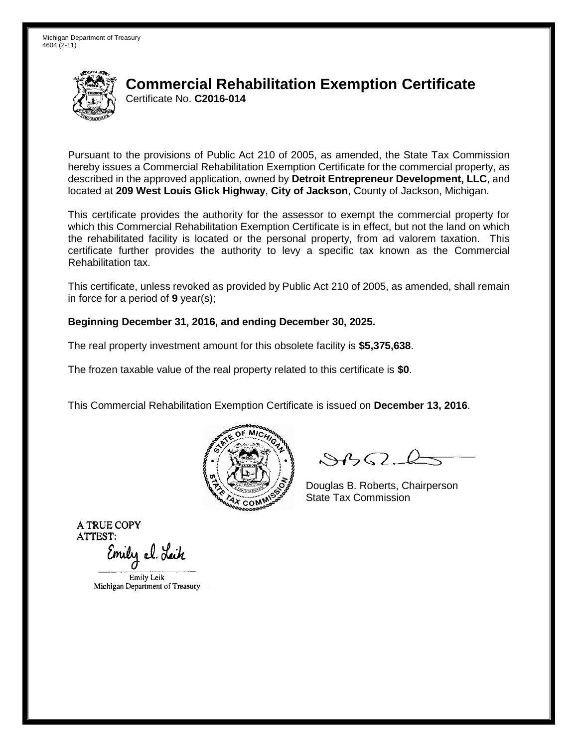

Pursuant to the provisions of Public Act 210 of 2005, as amended, the State Tax Commission hereby issues a Commercial Rehabilitation Exemption Certificate for the commercial property, as described in the approved application, owned by **Detroit Entrepreneur Development, LLC**, and located at **209 West Louis Glick Highway**, **City of Jackson**, County of Jackson, Michigan.

This certificate provides the authority for the assessor to exempt the commercial property for which this Commercial Rehabilitation Exemption Certificate is in effect, but not the land on which the rehabilitated facility is located or the personal property, from ad valorem taxation. This certificate further provides the authority to levy a specific tax known as the Commercial Rehabilitation tax.

This certificate, unless revoked as provided by Public Act 210 of 2005, as amended, shall remain in force for a period of **9** year(s);

#### **Beginning December 31, 2016, and ending December 30, 2025.**

The real property investment amount for this obsolete facility is **\$5,375,638**.

The frozen taxable value of the real property related to this certificate is **\$0**.

This Commercial Rehabilitation Exemption Certificate is issued on **December 13, 2016**.



 $8450 - 6$ 

Douglas B. Roberts, Chairperson State Tax Commission

Emily el. Leik

Emily Leik Michigan Department of Treasury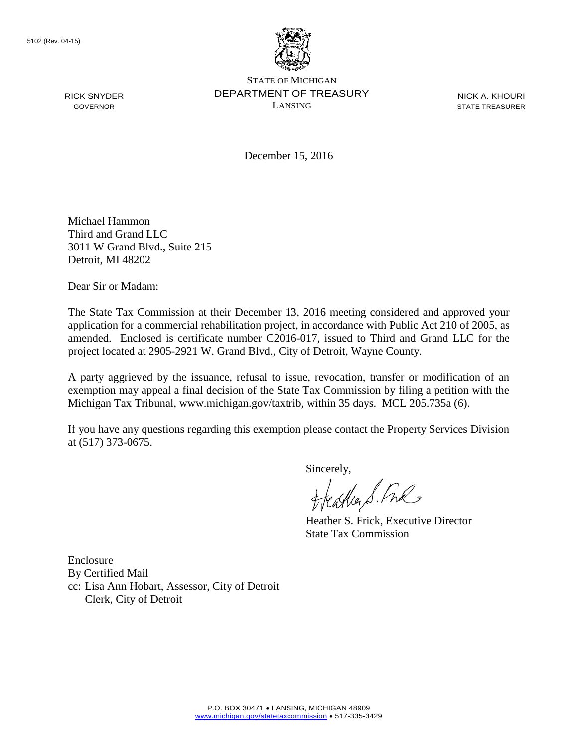

STATE OF MICHIGAN DEPARTMENT OF TREASURY LANSING

NICK A. KHOURI STATE TREASURER

December 15, 2016

Michael Hammon Third and Grand LLC 3011 W Grand Blvd., Suite 215 Detroit, MI 48202

Dear Sir or Madam:

The State Tax Commission at their December 13, 2016 meeting considered and approved your application for a commercial rehabilitation project, in accordance with Public Act 210 of 2005, as amended. Enclosed is certificate number C2016-017, issued to Third and Grand LLC for the project located at 2905-2921 W. Grand Blvd., City of Detroit, Wayne County.

A party aggrieved by the issuance, refusal to issue, revocation, transfer or modification of an exemption may appeal a final decision of the State Tax Commission by filing a petition with the Michigan Tax Tribunal, www.michigan.gov/taxtrib, within 35 days. MCL 205.735a (6).

If you have any questions regarding this exemption please contact the Property Services Division at (517) 373-0675.

Sincerely,

freastles S. Fre

Heather S. Frick, Executive Director State Tax Commission

Enclosure By Certified Mail cc: Lisa Ann Hobart, Assessor, City of Detroit Clerk, City of Detroit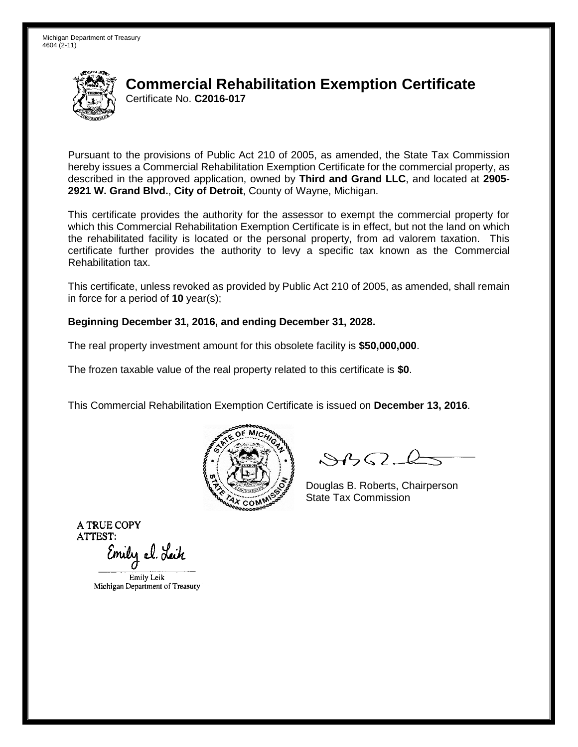

Pursuant to the provisions of Public Act 210 of 2005, as amended, the State Tax Commission hereby issues a Commercial Rehabilitation Exemption Certificate for the commercial property, as described in the approved application, owned by **Third and Grand LLC**, and located at **2905- 2921 W. Grand Blvd.**, **City of Detroit**, County of Wayne, Michigan.

This certificate provides the authority for the assessor to exempt the commercial property for which this Commercial Rehabilitation Exemption Certificate is in effect, but not the land on which the rehabilitated facility is located or the personal property, from ad valorem taxation. This certificate further provides the authority to levy a specific tax known as the Commercial Rehabilitation tax.

This certificate, unless revoked as provided by Public Act 210 of 2005, as amended, shall remain in force for a period of **10** year(s);

#### **Beginning December 31, 2016, and ending December 31, 2028.**

The real property investment amount for this obsolete facility is **\$50,000,000**.

The frozen taxable value of the real property related to this certificate is **\$0**.

This Commercial Rehabilitation Exemption Certificate is issued on **December 13, 2016**.



 $8450 - 6$ 

Douglas B. Roberts, Chairperson State Tax Commission

Emily el. Leik

Emily Leik Michigan Department of Treasury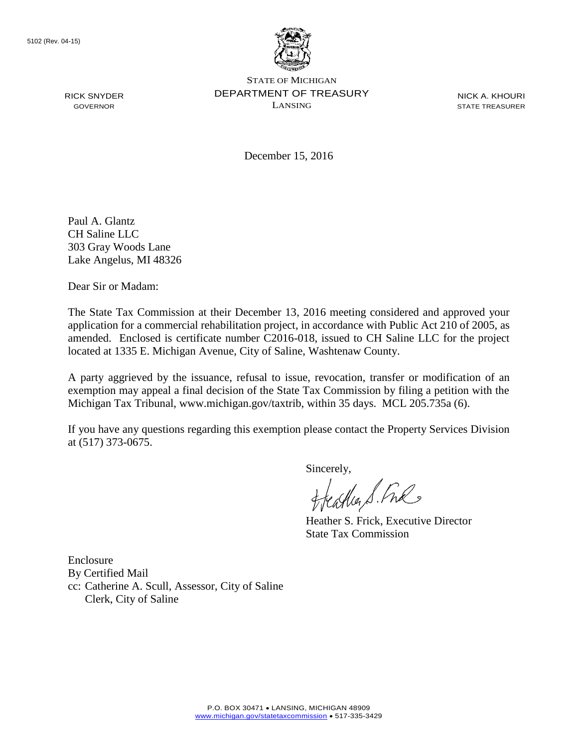

STATE OF MICHIGAN DEPARTMENT OF TREASURY LANSING

NICK A. KHOURI STATE TREASURER

December 15, 2016

Paul A. Glantz CH Saline LLC 303 Gray Woods Lane Lake Angelus, MI 48326

Dear Sir or Madam:

The State Tax Commission at their December 13, 2016 meeting considered and approved your application for a commercial rehabilitation project, in accordance with Public Act 210 of 2005, as amended. Enclosed is certificate number C2016-018, issued to CH Saline LLC for the project located at 1335 E. Michigan Avenue, City of Saline, Washtenaw County.

A party aggrieved by the issuance, refusal to issue, revocation, transfer or modification of an exemption may appeal a final decision of the State Tax Commission by filing a petition with the Michigan Tax Tribunal, www.michigan.gov/taxtrib, within 35 days. MCL 205.735a (6).

If you have any questions regarding this exemption please contact the Property Services Division at (517) 373-0675.

Sincerely,

freastles S. Fre

Heather S. Frick, Executive Director State Tax Commission

Enclosure By Certified Mail cc: Catherine A. Scull, Assessor, City of Saline Clerk, City of Saline